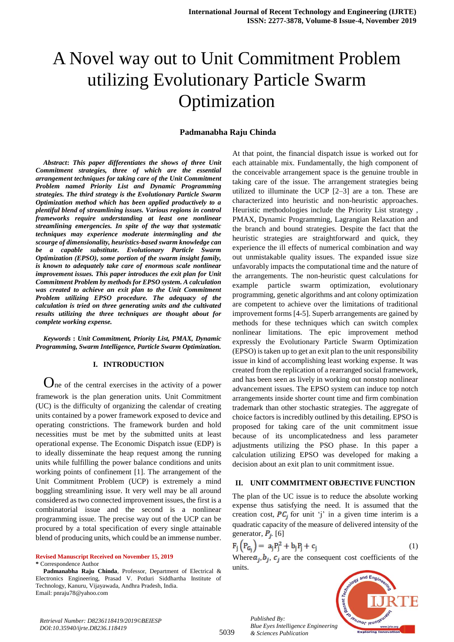# A Novel way out to Unit Commitment Problem utilizing Evolutionary Particle Swarm Optimization

# **Padmanabha Raju Chinda**

*Abstract***:** *This paper differentiates the shows of three Unit Commitment strategies, three of which are the essential arrangement techniques for taking care of the Unit Commitment Problem named Priority List and Dynamic Programming strategies. The third strategy is the Evolutionary Particle Swarm Optimization method which has been applied productively to a plentiful blend of streamlining issues. Various regions in control frameworks require understanding at least one nonlinear streamlining emergencies. In spite of the way that systematic techniques may experience moderate intermingling and the scourge of dimensionality, heuristics-based swarm knowledge can be a capable substitute. Evolutionary Particle Swarm Optimization (EPSO), some portion of the swarm insight family, is known to adequately take care of enormous scale nonlinear improvement issues. This paper introduces the exit plan for Unit Commitment Problem by methods for EPSO system. A calculation was created to achieve an exit plan to the Unit Commitment Problem utilizing EPSO procedure. The adequacy of the calculation is tried on three generating units and the cultivated results utilizing the three techniques are thought about for complete working expense.*

*Keywords* **:** *Unit Commitment, Priority List, PMAX, Dynamic Programming, Swarm Intelligence, Particle Swarm Optimization.*

## **I. INTRODUCTION**

 $\mathbf{O}_{\text{ne}}$  of the central exercises in the activity of a power framework is the plan generation units. Unit Commitment (UC) is the difficulty of organizing the calendar of creating units contained by a power framework exposed to device and operating constrictions. The framework burden and hold necessities must be met by the submitted units at least operational expense. The Economic Dispatch issue (EDP) is to ideally disseminate the heap request among the running units while fulfilling the power balance conditions and units working points of confinement [1]. The arrangement of the Unit Commitment Problem (UCP) is extremely a mind boggling streamlining issue. It very well may be all around considered as two connected improvement issues, the first is a combinatorial issue and the second is a nonlinear programming issue. The precise way out of the UCP can be procured by a total specification of every single attainable blend of producing units, which could be an immense number.

**Revised Manuscript Received on November 15, 2019**

**\*** Correspondence Author

**Padmanabha Raju Chinda**, Professor, Department of Electrical & Electronics Engineering, Prasad V. Potluri Siddhartha Institute of Technology, Kanuru, Vijayawada, Andhra Pradesh, India. Email: pnraju78@yahoo.com

At that point, the financial dispatch issue is worked out for each attainable mix. Fundamentally, the high component of the conceivable arrangement space is the genuine trouble in taking care of the issue. The arrangement strategies being utilized to illuminate the UCP [2–3] are a ton. These are characterized into heuristic and non-heuristic approaches. Heuristic methodologies include the Priority List strategy , PMAX, Dynamic Programming, Lagrangian Relaxation and the branch and bound strategies. Despite the fact that the heuristic strategies are straightforward and quick, they experience the ill effects of numerical combination and way out unmistakable quality issues. The expanded issue size unfavorably impacts the computational time and the nature of the arrangements. The non-heuristic quest calculations for example particle swarm optimization, evolutionary programming, genetic algorithms and ant colony optimization are competent to achieve over the limitations of traditional improvement forms [4-5]. Superb arrangements are gained by methods for these techniques which can switch complex nonlinear limitations. The epic improvement method expressly the Evolutionary Particle Swarm Optimization (EPSO) is taken up to get an exit plan to the unit responsibility issue in kind of accomplishing least working expense. It was created from the replication of a rearranged social framework, and has been seen as lively in working out nonstop nonlinear advancement issues. The EPSO system can induce top notch arrangements inside shorter count time and firm combination trademark than other stochastic strategies. The aggregate of choice factors is incredibly outlined by this detailing. EPSO is proposed for taking care of the unit commitment issue because of its uncomplicatedness and less parameter adjustments utilizing the PSO phase. In this paper a calculation utilizing EPSO was developed for making a decision about an exit plan to unit commitment issue.

## **II. UNIT COMMITMENT OBJECTIVE FUNCTION**

The plan of the UC issue is to reduce the absolute working expense thus satisfying the need. It is assumed that the creation cost,  $PC_i$  for unit 'j' in a given time interim is a quadratic capacity of the measure of delivered intensity of the generator,  $P_i$ . [6]

$$
F_j(P_{G_j}) = a_j P_j^2 + b_j P_j + c_j \tag{1}
$$

Where  $a_i$ ,  $b_i$ ,  $c_i$  are the consequent cost coefficients of the units.



5039

*Published By:*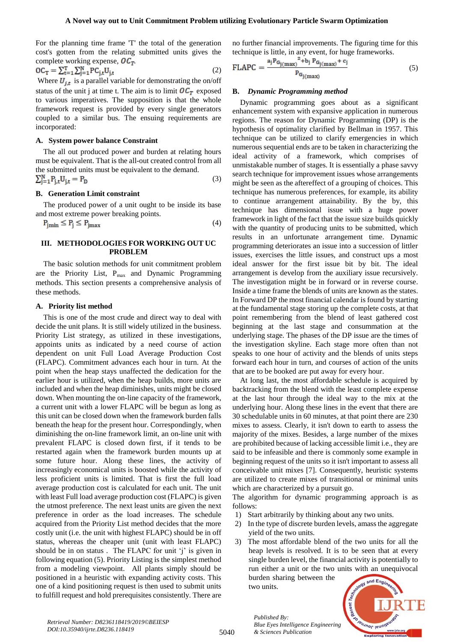For the planning time frame 'T' the total of the generation cost's gotten from the relating submitted units gives the complete working expense,  $OC_T$ .

$$
OC_T = \sum_{t=1}^T \sum_{j=1}^N PC_{j,t}U_{j,t}
$$
 (2)

Where  $U_{i,t}$  is a parallel variable for demonstrating the on/off status of the unit j at time t. The aim is to limit  $OC_T$  exposed to various imperatives. The supposition is that the whole framework request is provided by every single generators coupled to a similar bus. The ensuing requirements are incorporated:

#### **A. System power balance Constraint**

The all out produced power and burden at relating hours must be equivalent. That is the all-out created control from all the submitted units must be equivalent to the demand. **TIN**  $m - m$ 

$$
\sum_{j=1}^{N} P_{j,t} U_{j,t} = P_D \tag{3}
$$

#### **B. Generation Limit constraint**

The produced power of a unit ought to be inside its base and most extreme power breaking points.

 $P_{\text{imin}} \leq P_i \leq P_{\text{imax}}$ (4)

### **III. METHODOLOGIES FOR WORKING OUT UC PROBLEM**

The basic solution methods for unit commitment problem are the Priority List, P<sub>max</sub> and Dynamic Programming methods. This section presents a comprehensive analysis of these methods.

#### **A. Priority list method**

This is one of the most crude and direct way to deal with decide the unit plans. It is still widely utilized in the business. Priority List strategy, as utilized in these investigations, appoints units as indicated by a need course of action dependent on unit Full Load Average Production Cost (FLAPC). Commitment advances each hour in turn. At the point when the heap stays unaffected the dedication for the earlier hour is utilized, when the heap builds, more units are included and when the heap diminishes, units might be closed down. When mounting the on-line capacity of the framework, a current unit with a lower FLAPC will be begun as long as this unit can be closed down when the framework burden falls beneath the heap for the present hour. Correspondingly, when diminishing the on-line framework limit, an on-line unit with prevalent FLAPC is closed down first, if it tends to be restarted again when the framework burden mounts up at some future hour. Along these lines, the activity of increasingly economical units is boosted while the activity of less proficient units is limited. That is first the full load average production cost is calculated for each unit. The unit with least Full load average production cost (FLAPC) is given the utmost preference. The next least units are given the next preference in order as the load increases. The schedule acquired from the Priority List method decides that the more costly unit (i.e. the unit with highest FLAPC) should be in off status, whereas the cheaper unit (unit with least FLAPC) should be in on status. The FLAPC for unit 'j' is given in following equation (5). Priority Listing is the simplest method from a modeling viewpoint. All plants simply should be positioned in a heuristic with expanding activity costs. This one of a kind positioning request is then used to submit units to fulfill request and hold prerequisites consistently. There are no further financial improvements. The figuring time for this technique is little, in any event, for huge frameworks.

$$
FLAPC = \frac{a_j P_{G_{j(max)}}^2 + b_j P_{G_{j(max)}} + c_j}{P_{G_{j(max)}}}
$$
(5)

#### **B.** *Dynamic Programming method*

Dynamic programming goes about as a significant enhancement system with expansive application in numerous regions. The reason for Dynamic Programming (DP) is the hypothesis of optimality clarified by Bellman in 1957. This technique can be utilized to clarify emergencies in which numerous sequential ends are to be taken in characterizing the ideal activity of a framework, which comprises of unmistakable number of stages. It is essentially a phase savvy search technique for improvement issues whose arrangements might be seen as the aftereffect of a grouping of choices. This technique has numerous preferences, for example, its ability to continue arrangement attainability. By the by, this technique has dimensional issue with a huge power framework in light of the fact that the issue size builds quickly with the quantity of producing units to be submitted, which results in an unfortunate arrangement time. Dynamic programming deteriorates an issue into a succession of littler issues, exercises the little issues, and construct ups a most ideal answer for the first issue bit by bit. The ideal arrangement is develop from the auxiliary issue recursively. The investigation might be in forward or in reverse course. Inside a time frame the blends of units are known as the states. In Forward DP the most financial calendar is found by starting at the fundamental stage storing up the complete costs, at that point remembering from the blend of least gathered cost beginning at the last stage and consummation at the underlying stage. The phases of the DP issue are the times of the investigation skyline. Each stage more often than not speaks to one hour of activity and the blends of units steps forward each hour in turn, and courses of action of the units that are to be booked are put away for every hour.

At long last, the most affordable schedule is acquired by backtracking from the blend with the least complete expense at the last hour through the ideal way to the mix at the underlying hour. Along these lines in the event that there are 30 schedulable units in 60 minutes, at that point there are 230 mixes to assess. Clearly, it isn't down to earth to assess the majority of the mixes. Besides, a large number of the mixes are prohibited because of lacking accessible limit i.e., they are said to be infeasible and there is commonly some example in beginning request of the units so it isn't important to assess all conceivable unit mixes [7]. Consequently, heuristic systems are utilized to create mixes of transitional or minimal units which are characterized by a pursuit go.

The algorithm for dynamic programming approach is as follows:

- 1) Start arbitrarily by thinking about any two units.
- 2) In the type of discrete burden levels, amass the aggregate yield of the two units.
- 3) The most affordable blend of the two units for all the heap levels is resolved. It is to be seen that at every single burden level, the financial activity is potentially to run either a unit or the two units with an unequivocal

burden sharing between the two units.



5040

*Published By: Blue Eyes Intelligence Engineering & Sciences Publication*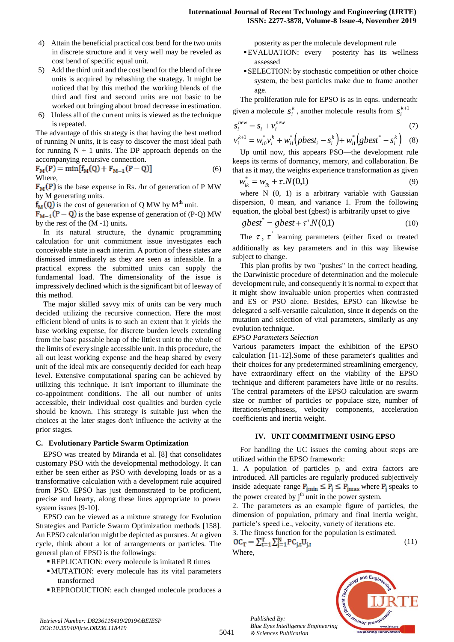- 4) Attain the beneficial practical cost bend for the two units in discrete structure and it very well may be reveled as cost bend of specific equal unit.
- 5) Add the third unit and the cost bend for the blend of three units is acquired by rehashing the strategy. It might be noticed that by this method the working blends of the third and first and second units are not basic to be worked out bringing about broad decrease in estimation.
- 6) Unless all of the current units is viewed as the technique is repeated.

The advantage of this strategy is that having the best method of running N units, it is easy to discover the most ideal path for running  $N + 1$  units. The DP approach depends on the

accompanying recursive connection.<br> $F_M(P) = min[f_M(Q) + F_{M-1}(P-Q)]$ (6) Where,

 $F_M(P)$  is the base expense in Rs. /hr of generation of P MW by M generating units.

is the cost of generation of  $Q$  MW by  $M<sup>th</sup>$  unit.

 $F_{M-1}(P-Q)$  is the base expense of generation of (P-Q) MW by the rest of the (M -1) units**.**

In its natural structure, the dynamic programming calculation for unit commitment issue investigates each conceivable state in each interim. A portion of these states are dismissed immediately as they are seen as infeasible. In a practical express the submitted units can supply the fundamental load. The dimensionality of the issue is impressively declined which is the significant bit of leeway of this method.

The major skilled savvy mix of units can be very much decided utilizing the recursive connection. Here the most efficient blend of units is to such an extent that it yields the base working expense, for discrete burden levels extending from the base passable heap of the littlest unit to the whole of the limits of every single accessible unit. In this procedure, the all out least working expense and the heap shared by every unit of the ideal mix are consequently decided for each heap level. Extensive computational sparing can be achieved by utilizing this technique. It isn't important to illuminate the co-appointment conditions. The all out number of units accessible, their individual cost qualities and burden cycle should be known. This strategy is suitable just when the choices at the later stages don't influence the activity at the prior stages.

# **C. Evolutionary Particle Swarm Optimization**

EPSO was created by Miranda et al. [8] that consolidates customary PSO with the developmental methodology. It can either be seen either as PSO with developing loads or as a transformative calculation with a development rule acquired from PSO. EPSO has just demonstrated to be proficient, precise and hearty, along these lines appropriate to power system issues [9-10].

EPSO can be viewed as a mixture strategy for Evolution Strategies and Particle Swarm Optimization methods [158]. An EPSO calculation might be depicted as pursues. At a given cycle, think about a lot of arrangements or particles. The general plan of EPSO is the followings:

- REPLICATION: every molecule is imitated R times
- MUTATION: every molecule has its vital parameters transformed
- REPRODUCTION: each changed molecule produces a

posterity as per the molecule development rule

- EVALUATION: every posterity has its wellness assessed
- SELECTION: by stochastic competition or other choice system, the best particles make due to frame another age.

The proliferation rule for EPSO is as in eqns. underneath: given a molecule  $s_i^k$  $s_i^k$ , another molecule results from  $s_i^{k+1}$ *i s*

$$
S_i^{new} = S_i + V_i^{new}
$$
 (7)

$$
v_i^{k+1} = w_{i0}^* v_i^k + w_{i1}^* (pbest_i - s_i^k) + w_{i1}^* (gbest^* - s_i^k) \quad (8)
$$

Up until now, this appears PSO—the development rule keeps its terms of dormancy, memory, and collaboration. Be that as it may, the weights experience transformation as given

$$
w_{ik}^* = w_{ik} + \tau . N(0,1)
$$
 (9)

where  $N(0, 1)$  is a arbitrary variable with Gaussian dispersion, 0 mean, and variance 1. From the following equation, the global best (gbest) is arbitrarily upset to give

$$
gbest^* = gbest + \tau^* N(0,1)
$$
 (10)

The  $\tau$ ,  $\tau$  learning parameters (either fixed or treated additionally as key parameters and in this way likewise subject to change.

This plan profits by two "pushes" in the correct heading, the Darwinistic procedure of determination and the molecule development rule, and consequently it is normal to expect that it might show invaluable union properties when contrasted and ES or PSO alone. Besides, EPSO can likewise be delegated a self-versatile calculation, since it depends on the mutation and selection of vital parameters, similarly as any evolution technique.

# *EPSO Parameters Selection*

Various parameters impact the exhibition of the EPSO calculation [11-12].Some of these parameter's qualities and their choices for any predetermined streamlining emergency, have extraordinary effect on the viability of the EPSO technique and different parameters have little or no results. The central parameters of the EPSO calculation are swarm size or number of particles or populace size, number of iterations/emphasess, velocity components, acceleration coefficients and inertia weight.

## **IV. UNIT COMMITMENT USING EPSO**

For handling the UC issues the coming about steps are utilized within the EPSO framework:

1. A population of particles  $p_i$  and extra factors are introduced. All particles are regularly produced subjectively inside adequate range  $P_{jmin} \le P_j \le P_{jmax}$  where  $P_j$  speaks to the power created by  $j<sup>th</sup>$  unit in the power system.

2. The parameters as an example figure of particles, the dimension of population, primary and final inertia weight, particle's speed i.e., velocity, variety of iterations etc.

3. The fitness function for the population is estimated.

 $OC_T = \sum_{t=1}^{T} \sum_{j=1}^{N} PC_{j,t}U_{j,t}$  (11) Where,



*Retrieval Number: D8236118419/2019©BEIESP DOI:10.35940/ijrte.D8236.118419*

*Published By:*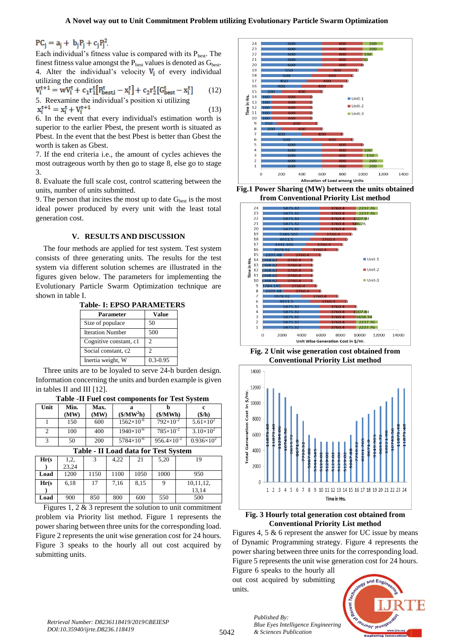$PC_i = a_i + b_iP_i + c_iP_i^2$ .

Each individual's fitness value is compared with its  $P_{best}$ . The finest fitness value amongst the  $P_{best}$  values is denoted as  $G_{best}$ . 4. Alter the individual's velocity  $V_i$  of every individual utilizing the condition

$$
V_i^{t+1} = wV_i^t + c_1r_1^t[R_{best,i}^t - x_i^t] + c_2r_2^t[G_{best}^t - x_i^t]
$$
 (12)  
5. Recxamine the individual's position xi utilizing

 $(13)$ 

6. In the event that every individual's estimation worth is superior to the earlier Pbest, the present worth is situated as Pbest. In the event that the best Pbest is better than Gbest the worth is taken as Gbest.

7. If the end criteria i.e., the amount of cycles achieves the most outrageous worth by then go to stage 8, else go to stage 3.

8. Evaluate the full scale cost, control scattering between the units, number of units submitted.

9. The person that incites the most up to date  $G_{best}$  is the most ideal power produced by every unit with the least total generation cost.

# **V. RESULTS AND DISCUSSION**

The four methods are applied for test system. Test system consists of three generating units. The results for the test system via different solution schemes are illustrated in the figures given below. The parameters for implementing the Evolutionary Particle Swarm Optimization technique are shown in table I.

**Table- I: EPSO PARAMETERS** 

| Parameter               | Value        |
|-------------------------|--------------|
| Size of populace        | 50           |
| <b>Iteration Number</b> | 500          |
| Cognitive constant, c1  | 2            |
| Social constant, c2     | 2            |
| Inertia weight, W       | $0.3 - 0.95$ |

Three units are to be loyaled to serve 24-h burden design. Information concerning the units and burden example is given in tables II and III [12].

| <b>Table -II Fuel cost components for Test System</b> |  |  |  |  |  |  |  |  |  |
|-------------------------------------------------------|--|--|--|--|--|--|--|--|--|
|-------------------------------------------------------|--|--|--|--|--|--|--|--|--|

| Unit                                 | Min.  | Max. |      | a                      | (\$/MWh) |                      | c                      |  |
|--------------------------------------|-------|------|------|------------------------|----------|----------------------|------------------------|--|
|                                      | (MW)  | (MW) |      | (\$/MW <sup>2</sup> h) |          |                      | $(\frac{\epsilon}{h})$ |  |
| 1                                    | 150   | 600  |      | $1562\times10^{-6}$    |          | $792\times10^{-2}$   | $5.61\times10^{2}$     |  |
| $\overline{c}$                       | 100   | 400  |      | $1940\times10^{-6}$    |          | $785\times10^{-2}$   | $3.10\times10^{2}$     |  |
| 3                                    | 50    | 200  |      | $5784\times10^{-6}$    |          | $956.4\times10^{-2}$ | $0.936\times10^{2}$    |  |
| Table - II Load data for Test System |       |      |      |                        |          |                      |                        |  |
| Hr(s)                                | 1,2,  | 3    | 4,22 | 21                     | 5.20     |                      | 19                     |  |
|                                      | 23,24 |      |      |                        |          |                      |                        |  |
| Load                                 | 1200  | 1150 | 1100 | 1050                   | 1000     | 950                  |                        |  |
| Hr(s)                                | 6,18  | 17   | 7.16 | 8,15                   | 9        |                      | 10,11,12,              |  |
|                                      |       |      |      |                        |          |                      | 13,14                  |  |
| Load                                 | 900   | 850  | 800  | 600                    | 550      |                      | 500                    |  |

Figures 1, 2 & 3 represent the solution to unit commitment problem via Priority list method. Figure 1 represents the power sharing between three units for the corresponding load. Figure 2 represents the unit wise generation cost for 24 hours. Figure 3 speaks to the hourly all out cost acquired by submitting units.



**Fig.1 Power Sharing (MW) between the units obtained from Conventional Priority List method**



**Fig. 2 Unit wise generation cost obtained from Conventional Priority List method**



**Fig. 3 Hourly total generation cost obtained from Conventional Priority List method**

Figures 4, 5 & 6 represent the answer for UC issue by means of Dynamic Programming strategy. Figure 4 represents the power sharing between three units for the corresponding load. Figure 5 represents the unit wise generation cost for 24 hours.

Figure 6 speaks to the hourly all out cost acquired by submitting units.

*& Sciences Publication* 

*Published By:*

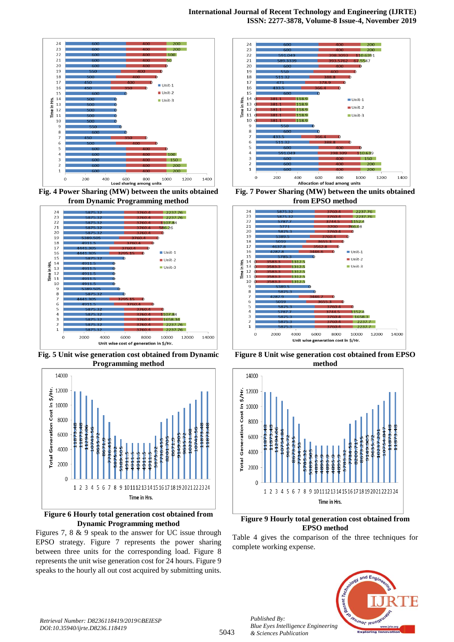

**Fig. 4 Power Sharing (MW) between the units obtained from Dynamic Programming method**



**Fig. 5 Unit wise generation cost obtained from Dynamic Programming method**



**Figure 6 Hourly total generation cost obtained from Dynamic Programming method**

Figures 7, 8 & 9 speak to the answer for UC issue through EPSO strategy. Figure 7 represents the power sharing between three units for the corresponding load. Figure 8 represents the unit wise generation cost for 24 hours. Figure 9 speaks to the hourly all out cost acquired by submitting units.



**Fig. 7 Power Sharing (MW) between the units obtained from EPSO method**



**Figure 8 Unit wise generation cost obtained from EPSO method**



**Figure 9 Hourly total generation cost obtained from EPSO method**

Table 4 gives the comparison of the three techniques for complete working expense.



*Published By:*